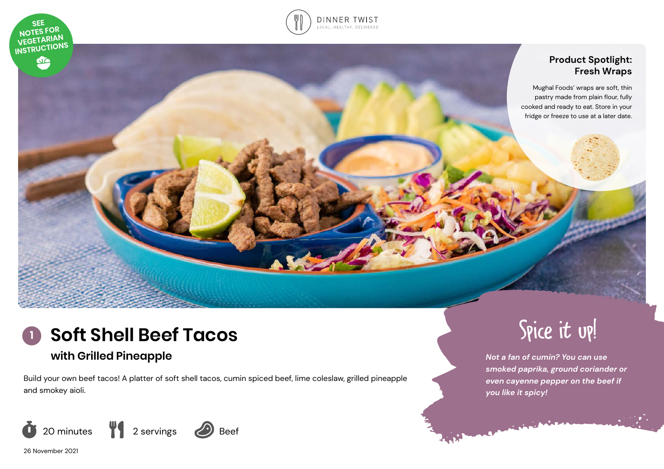



# **Product Spotlight: Fresh Wraps**

Mughal Foods' wraps are soft, thin pastry made from plain flour, fully cooked and ready to eat. Store in your fridge or freeze to use at a later date.



# **with Grilled Pineapple**

Build your own beef tacos! A platter of soft shell tacos, cumin spiced beef, lime coleslaw, grilled pineapple and smokey aioli.





*Not a fan of cumin? You can use smoked paprika, ground coriander or even cayenne pepper on the beef if you like it spicy!*

26 November 2021